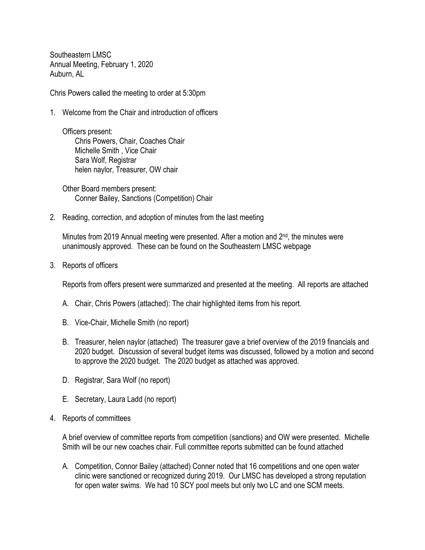Southeastern LMSC Annual Meeting, February 1, 2020 Auburn, AL

Chris Powers called the meeting to order at 5:30pm

1. Welcome from the Chair and introduction of officers

Officers present: Chris Powers, Chair, Coaches Chair Michelle Smith , Vice Chair Sara Wolf, Registrar helen naylor, Treasurer, OW chair

Other Board members present: Conner Bailey, Sanctions (Competition) Chair

2. Reading, correction, and adoption of minutes from the last meeting

Minutes from 2019 Annual meeting were presented. After a motion and  $2^{nd}$ , the minutes were unanimously approved. These can be found on the Southeastern LMSC webpage

3. Reports of officers

Reports from offers present were summarized and presented at the meeting. All reports are attached

- A. Chair, Chris Powers (attached): The chair highlighted items from his report.
- B. Vice-Chair, Michelle Smith (no report)
- B. Treasurer, helen naylor (attached) The treasurer gave a brief overview of the 2019 financials and 2020 budget. Discussion of several budget items was discussed, followed by a motion and second to approve the 2020 budget. The 2020 budget as attached was approved.
- D. Registrar, Sara Wolf (no report)
- E. Secretary, Laura Ladd (no report)
- 4. Reports of committees

A brief overview of committee reports from competition (sanctions) and OW were presented. Michelle Smith will be our new coaches chair. Full committee reports submitted can be found attached

A. Competition, Connor Bailey (attached) Conner noted that 16 competitions and one open water clinic were sanctioned or recognized during 2019. Our LMSC has developed a strong reputation for open water swims. We had 10 SCY pool meets but only two LC and one SCM meets.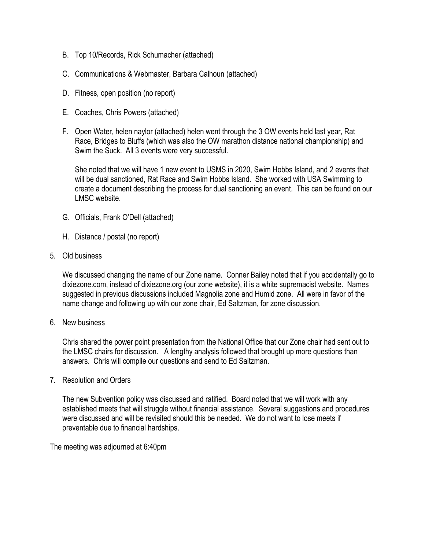- B. Top 10/Records, Rick Schumacher (attached)
- C. Communications & Webmaster, Barbara Calhoun (attached)
- D. Fitness, open position (no report)
- E. Coaches, Chris Powers (attached)
- F. Open Water, helen naylor (attached) helen went through the 3 OW events held last year, Rat Race, Bridges to Bluffs (which was also the OW marathon distance national championship) and Swim the Suck. All 3 events were very successful.

She noted that we will have 1 new event to USMS in 2020, Swim Hobbs Island, and 2 events that will be dual sanctioned, Rat Race and Swim Hobbs Island. She worked with USA Swimming to create a document describing the process for dual sanctioning an event. This can be found on our LMSC website.

- G. Officials, Frank O'Dell (attached)
- H. Distance / postal (no report)
- 5. Old business

We discussed changing the name of our Zone name. Conner Bailey noted that if you accidentally go to dixiezone.com, instead of dixiezone.org (our zone website), it is a white supremacist website. Names suggested in previous discussions included Magnolia zone and Humid zone. All were in favor of the name change and following up with our zone chair, Ed Saltzman, for zone discussion.

6. New business

Chris shared the power point presentation from the National Office that our Zone chair had sent out to the LMSC chairs for discussion. A lengthy analysis followed that brought up more questions than answers. Chris will compile our questions and send to Ed Saltzman.

7. Resolution and Orders

The new Subvention policy was discussed and ratified. Board noted that we will work with any established meets that will struggle without financial assistance. Several suggestions and procedures were discussed and will be revisited should this be needed. We do not want to lose meets if preventable due to financial hardships.

The meeting was adjourned at 6:40pm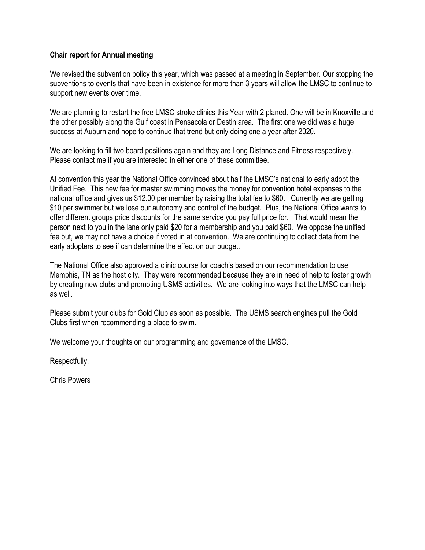#### **Chair report for Annual meeting**

We revised the subvention policy this year, which was passed at a meeting in September. Our stopping the subventions to events that have been in existence for more than 3 years will allow the LMSC to continue to support new events over time.

We are planning to restart the free LMSC stroke clinics this Year with 2 planed. One will be in Knoxville and the other possibly along the Gulf coast in Pensacola or Destin area. The first one we did was a huge success at Auburn and hope to continue that trend but only doing one a year after 2020.

We are looking to fill two board positions again and they are Long Distance and Fitness respectively. Please contact me if you are interested in either one of these committee.

At convention this year the National Office convinced about half the LMSC's national to early adopt the Unified Fee. This new fee for master swimming moves the money for convention hotel expenses to the national office and gives us \$12.00 per member by raising the total fee to \$60. Currently we are getting \$10 per swimmer but we lose our autonomy and control of the budget. Plus, the National Office wants to offer different groups price discounts for the same service you pay full price for. That would mean the person next to you in the lane only paid \$20 for a membership and you paid \$60. We oppose the unified fee but, we may not have a choice if voted in at convention. We are continuing to collect data from the early adopters to see if can determine the effect on our budget.

The National Office also approved a clinic course for coach's based on our recommendation to use Memphis, TN as the host city. They were recommended because they are in need of help to foster growth by creating new clubs and promoting USMS activities. We are looking into ways that the LMSC can help as well.

Please submit your clubs for Gold Club as soon as possible. The USMS search engines pull the Gold Clubs first when recommending a place to swim.

We welcome your thoughts on our programming and governance of the LMSC.

Respectfully,

Chris Powers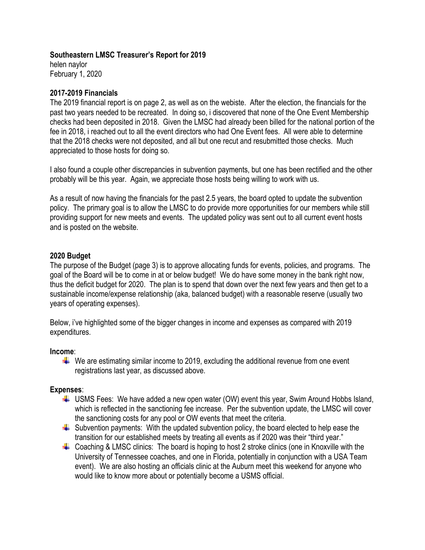#### **Southeastern LMSC Treasurer's Report for 2019**

helen naylor February 1, 2020

#### **2017-2019 Financials**

The 2019 financial report is on page 2, as well as on the webiste. After the election, the financials for the past two years needed to be recreated. In doing so, i discovered that none of the One Event Membership checks had been deposited in 2018. Given the LMSC had already been billed for the national portion of the fee in 2018, i reached out to all the event directors who had One Event fees. All were able to determine that the 2018 checks were not deposited, and all but one recut and resubmitted those checks. Much appreciated to those hosts for doing so.

I also found a couple other discrepancies in subvention payments, but one has been rectified and the other probably will be this year. Again, we appreciate those hosts being willing to work with us.

As a result of now having the financials for the past 2.5 years, the board opted to update the subvention policy. The primary goal is to allow the LMSC to do provide more opportunities for our members while still providing support for new meets and events. The updated policy was sent out to all current event hosts and is posted on the website.

#### **2020 Budget**

The purpose of the Budget (page 3) is to approve allocating funds for events, policies, and programs. The goal of the Board will be to come in at or below budget! We do have some money in the bank right now, thus the deficit budget for 2020. The plan is to spend that down over the next few years and then get to a sustainable income/expense relationship (aka, balanced budget) with a reasonable reserve (usually two years of operating expenses).

Below, i've highlighted some of the bigger changes in income and expenses as compared with 2019 expenditures.

#### **Income**:

 $\ddot{\phantom{1}}$  We are estimating similar income to 2019, excluding the additional revenue from one event registrations last year, as discussed above.

#### **Expenses**:

- $\downarrow$  USMS Fees: We have added a new open water (OW) event this year, Swim Around Hobbs Island, which is reflected in the sanctioning fee increase. Per the subvention update, the LMSC will cover the sanctioning costs for any pool or OW events that meet the criteria.
- $\ddot{\phantom{1}}$  Subvention payments: With the updated subvention policy, the board elected to help ease the transition for our established meets by treating all events as if 2020 was their "third year."
- $\downarrow$  Coaching & LMSC clinics: The board is hoping to host 2 stroke clinics (one in Knoxville with the University of Tennessee coaches, and one in Florida, potentially in conjunction with a USA Team event). We are also hosting an officials clinic at the Auburn meet this weekend for anyone who would like to know more about or potentially become a USMS official.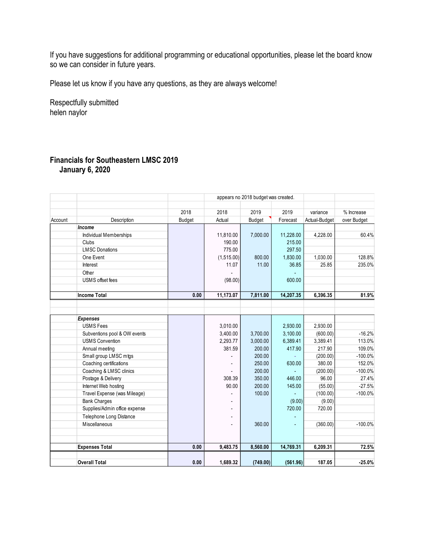If you have suggestions for additional programming or educational opportunities, please let the board know so we can consider in future years.

Please let us know if you have any questions, as they are always welcome!

Respectfully submitted helen naylor

### **Financials for Southeastern LMSC 2019 January 6, 2020**

|         |                               |        |            | appears no 2018 budget was created. |           |               |             |
|---------|-------------------------------|--------|------------|-------------------------------------|-----------|---------------|-------------|
|         |                               |        |            |                                     |           |               |             |
|         |                               | 2018   | 2018       | 2019                                | 2019      | variance      | % Increase  |
| Account | Description                   | Budget | Actual     | Budget                              | Forecast  | Actual-Budget | over Budget |
| Income  |                               |        |            |                                     |           |               |             |
|         | Individual Memberships        |        | 11,810.00  | 7,000.00                            | 11,228.00 | 4,228.00      | 60.4%       |
|         | Clubs                         |        | 190.00     |                                     | 215.00    |               |             |
|         | <b>LMSC Donations</b>         |        | 775.00     |                                     | 297.50    |               |             |
|         | One Event                     |        | (1,515.00) | 800.00                              | 1,830.00  | 1,030.00      | 128.8%      |
|         | Interest                      |        | 11.07      | 11.00                               | 36.85     | 25.85         | 235.0%      |
|         | Other                         |        |            |                                     |           |               |             |
|         | <b>USMS</b> offset fees       |        | (98.00)    |                                     | 600.00    |               |             |
|         | <b>Income Total</b>           | 0.00   | 11,173.07  | 7,811.00                            | 14,207.35 | 6,396.35      | 81.9%       |
|         |                               |        |            |                                     |           |               |             |
|         |                               |        |            |                                     |           |               |             |
|         | <b>Expenses</b>               |        |            |                                     |           |               |             |
|         | <b>USMS Fees</b>              |        | 3,010.00   |                                     | 2,930.00  | 2,930.00      |             |
|         | Subventions pool & OW events  |        | 3,400.00   | 3,700.00                            | 3,100.00  | (600.00)      | $-16.2%$    |
|         | <b>USMS Convention</b>        |        | 2,293.77   | 3,000.00                            | 6,389.41  | 3,389.41      | 113.0%      |
|         | Annual meeting                |        | 381.59     | 200.00                              | 417.90    | 217.90        | 109.0%      |
|         | Small group LMSC mtgs         |        |            | 200.00                              |           | (200.00)      | $-100.0%$   |
|         | Coaching certifications       |        |            | 250.00                              | 630.00    | 380.00        | 152.0%      |
|         | Coaching & LMSC clinics       |        |            | 200.00                              |           | (200.00)      | $-100.0%$   |
|         | Postage & Delivery            |        | 308.39     | 350.00                              | 446.00    | 96.00         | 27.4%       |
|         | Internet Web hosting          |        | 90.00      | 200.00                              | 145.00    | (55.00)       | $-27.5%$    |
|         | Travel Expense (was Mileage)  |        |            | 100.00                              |           | (100.00)      | $-100.0%$   |
|         | <b>Bank Charges</b>           |        |            |                                     | (9.00)    | (9.00)        |             |
|         | Supplies/Admin office expense |        |            |                                     | 720.00    | 720.00        |             |
|         | Telephone Long Distance       |        |            |                                     |           |               |             |
|         | Miscellaneous                 |        |            | 360.00                              |           | (360.00)      | $-100.0%$   |
|         |                               |        |            |                                     |           |               |             |
|         | <b>Expenses Total</b>         | 0.00   | 9,483.75   | 8,560.00                            | 14,769.31 | 6,209.31      | 72.5%       |
|         | <b>Overall Total</b>          | 0.00   | 1,689.32   | (749.00)                            | (561.96)  | 187.05        | $-25.0%$    |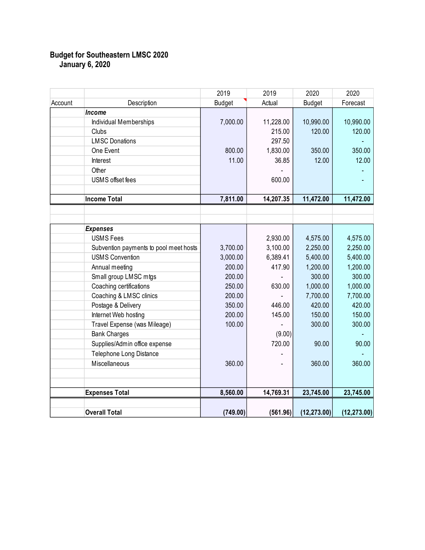#### **Budget for Southeastern LMSC 2020 January 6, 2020**

|         |                                        | 2019          | 2019      | 2020          | 2020         |
|---------|----------------------------------------|---------------|-----------|---------------|--------------|
| Account | Description                            | <b>Budget</b> | Actual    | <b>Budget</b> | Forecast     |
|         | Income                                 |               |           |               |              |
|         | <b>Individual Memberships</b>          | 7,000.00      | 11,228.00 | 10,990.00     | 10,990.00    |
|         | Clubs                                  |               | 215.00    | 120.00        | 120.00       |
|         | <b>LMSC Donations</b>                  |               | 297.50    |               |              |
|         | One Event                              | 800.00        | 1,830.00  | 350.00        | 350.00       |
|         | Interest                               | 11.00         | 36.85     | 12.00         | 12.00        |
|         | Other                                  |               |           |               |              |
|         | <b>USMS</b> offset fees                |               | 600.00    |               |              |
|         |                                        |               |           |               |              |
|         | <b>Income Total</b>                    | 7,811.00      | 14,207.35 | 11,472.00     | 11,472.00    |
|         |                                        |               |           |               |              |
|         |                                        |               |           |               |              |
|         | <b>Expenses</b>                        |               |           |               |              |
|         | <b>USMS Fees</b>                       |               | 2,930.00  | 4,575.00      | 4,575.00     |
|         | Subvention payments to pool meet hosts | 3,700.00      | 3,100.00  | 2,250.00      | 2,250.00     |
|         | <b>USMS Convention</b>                 | 3,000.00      | 6,389.41  | 5,400.00      | 5,400.00     |
|         | Annual meeting                         | 200.00        | 417.90    | 1,200.00      | 1,200.00     |
|         | Small group LMSC mtgs                  | 200.00        |           | 300.00        | 300.00       |
|         | Coaching certifications                | 250.00        | 630.00    | 1,000.00      | 1,000.00     |
|         | Coaching & LMSC clinics                | 200.00        |           | 7,700.00      | 7,700.00     |
|         | Postage & Delivery                     | 350.00        | 446.00    | 420.00        | 420.00       |
|         | Internet Web hosting                   | 200.00        | 145.00    | 150.00        | 150.00       |
|         | Travel Expense (was Mileage)           | 100.00        |           | 300.00        | 300.00       |
|         | <b>Bank Charges</b>                    |               | (9.00)    |               |              |
|         | Supplies/Admin office expense          |               | 720.00    | 90.00         | 90.00        |
|         | Telephone Long Distance                |               |           |               |              |
|         | Miscellaneous                          | 360.00        |           | 360.00        | 360.00       |
|         |                                        |               |           |               |              |
|         |                                        |               |           |               |              |
|         | <b>Expenses Total</b>                  | 8,560.00      | 14,769.31 | 23,745.00     | 23,745.00    |
|         | <b>Overall Total</b>                   | (749.00)      | (561.96)  | (12, 273.00)  | (12, 273.00) |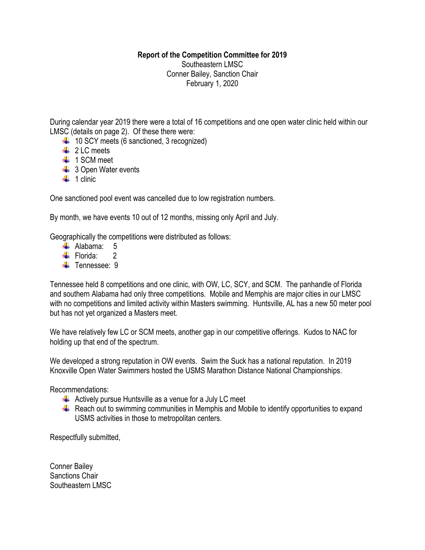### **Report of the Competition Committee for 2019**

Southeastern LMSC Conner Bailey, Sanction Chair February 1, 2020

During calendar year 2019 there were a total of 16 competitions and one open water clinic held within our LMSC (details on page 2). Of these there were:

- $\downarrow$  10 SCY meets (6 sanctioned, 3 recognized)
- $\downarrow$  2 LC meets
- $\ddagger$  1 SCM meet
- $\frac{1}{2}$  3 Open Water events
- $\frac{1}{2}$  1 clinic

One sanctioned pool event was cancelled due to low registration numbers.

By month, we have events 10 out of 12 months, missing only April and July.

Geographically the competitions were distributed as follows:

- $\blacktriangle$  Alabama: 5
- $\div$  Florida: 2
- **T**ennessee: 9

Tennessee held 8 competitions and one clinic, with OW, LC, SCY, and SCM. The panhandle of Florida and southern Alabama had only three competitions. Mobile and Memphis are major cities in our LMSC with no competitions and limited activity within Masters swimming. Huntsville, AL has a new 50 meter pool but has not yet organized a Masters meet.

We have relatively few LC or SCM meets, another gap in our competitive offerings. Kudos to NAC for holding up that end of the spectrum.

We developed a strong reputation in OW events. Swim the Suck has a national reputation. In 2019 Knoxville Open Water Swimmers hosted the USMS Marathon Distance National Championships.

Recommendations:

- $\downarrow$  Actively pursue Huntsville as a venue for a July LC meet
- $\ddot{+}$  Reach out to swimming communities in Memphis and Mobile to identify opportunities to expand USMS activities in those to metropolitan centers.

Respectfully submitted,

Conner Bailey Sanctions Chair Southeastern LMSC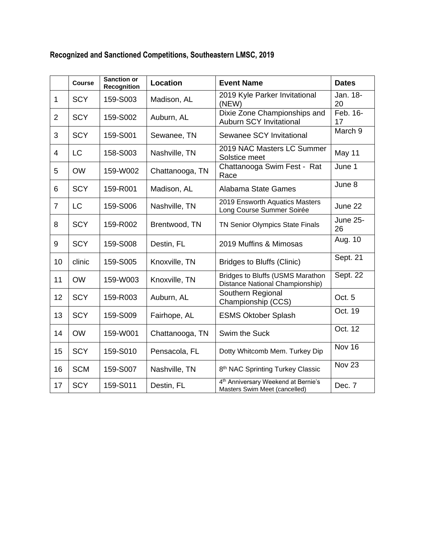| Recognized and Sanctioned Competitions, Southeastern LMSC, 2019 |  |
|-----------------------------------------------------------------|--|
|                                                                 |  |

|                | <b>Course</b> | <b>Sanction or</b><br><b>Recognition</b> | Location        | <b>Event Name</b>                                                                | <b>Dates</b>          |
|----------------|---------------|------------------------------------------|-----------------|----------------------------------------------------------------------------------|-----------------------|
| $\mathbf{1}$   | <b>SCY</b>    | 159-S003                                 | Madison, AL     | 2019 Kyle Parker Invitational<br>(NEW)                                           | Jan. 18-<br>20        |
| $\overline{2}$ | <b>SCY</b>    | 159-S002                                 | Auburn, AL      | Dixie Zone Championships and<br><b>Auburn SCY Invitational</b>                   | Feb. 16-<br>17        |
| 3              | <b>SCY</b>    | 159-S001                                 | Sewanee, TN     | Sewanee SCY Invitational                                                         | March 9               |
| 4              | <b>LC</b>     | 158-S003                                 | Nashville, TN   | 2019 NAC Masters LC Summer<br>Solstice meet                                      | May 11                |
| 5              | <b>OW</b>     | 159-W002                                 | Chattanooga, TN | Chattanooga Swim Fest - Rat<br>Race                                              | June 1                |
| 6              | <b>SCY</b>    | 159-R001                                 | Madison, AL     | Alabama State Games                                                              | June 8                |
| $\overline{7}$ | <b>LC</b>     | 159-S006                                 | Nashville, TN   | 2019 Ensworth Aquatics Masters<br>Long Course Summer Soirée                      | June 22               |
| 8              | <b>SCY</b>    | 159-R002                                 | Brentwood, TN   | TN Senior Olympics State Finals                                                  | <b>June 25-</b><br>26 |
| 9              | <b>SCY</b>    | 159-S008                                 | Destin, FL      | 2019 Muffins & Mimosas                                                           | Aug. 10               |
| 10             | clinic        | 159-S005                                 | Knoxville, TN   | <b>Bridges to Bluffs (Clinic)</b>                                                | Sept. 21              |
| 11             | <b>OW</b>     | 159-W003                                 | Knoxville, TN   | <b>Bridges to Bluffs (USMS Marathon</b><br>Distance National Championship)       | Sept. 22              |
| 12             | <b>SCY</b>    | 159-R003                                 | Auburn, AL      | Southern Regional<br>Championship (CCS)                                          | Oct. 5                |
| 13             | <b>SCY</b>    | 159-S009                                 | Fairhope, AL    | <b>ESMS Oktober Splash</b>                                                       | Oct. 19               |
| 14             | <b>OW</b>     | 159-W001                                 | Chattanooga, TN | Swim the Suck                                                                    | Oct. 12               |
| 15             | <b>SCY</b>    | 159-S010                                 | Pensacola, FL   | Dotty Whitcomb Mem. Turkey Dip                                                   | Nov 16                |
| 16             | <b>SCM</b>    | 159-S007                                 | Nashville, TN   | 8 <sup>th</sup> NAC Sprinting Turkey Classic                                     | Nov 23                |
| 17             | <b>SCY</b>    | 159-S011                                 | Destin, FL      | 4 <sup>th</sup> Anniversary Weekend at Bernie's<br>Masters Swim Meet (cancelled) | Dec. 7                |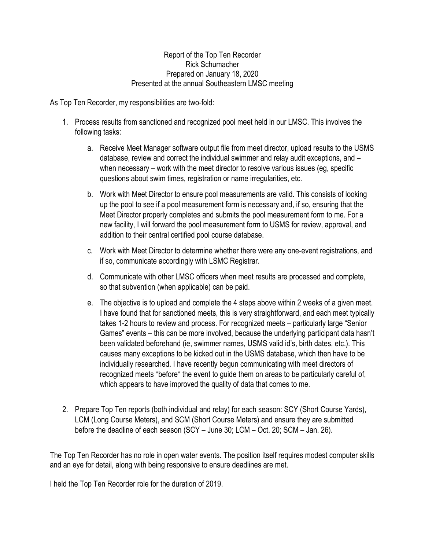#### Report of the Top Ten Recorder Rick Schumacher Prepared on January 18, 2020 Presented at the annual Southeastern LMSC meeting

As Top Ten Recorder, my responsibilities are two-fold:

- 1. Process results from sanctioned and recognized pool meet held in our LMSC. This involves the following tasks:
	- a. Receive Meet Manager software output file from meet director, upload results to the USMS database, review and correct the individual swimmer and relay audit exceptions, and – when necessary – work with the meet director to resolve various issues (eg, specific questions about swim times, registration or name irregularities, etc.
	- b. Work with Meet Director to ensure pool measurements are valid. This consists of looking up the pool to see if a pool measurement form is necessary and, if so, ensuring that the Meet Director properly completes and submits the pool measurement form to me. For a new facility, I will forward the pool measurement form to USMS for review, approval, and addition to their central certified pool course database.
	- c. Work with Meet Director to determine whether there were any one-event registrations, and if so, communicate accordingly with LSMC Registrar.
	- d. Communicate with other LMSC officers when meet results are processed and complete, so that subvention (when applicable) can be paid.
	- e. The objective is to upload and complete the 4 steps above within 2 weeks of a given meet. I have found that for sanctioned meets, this is very straightforward, and each meet typically takes 1-2 hours to review and process. For recognized meets – particularly large "Senior Games" events – this can be more involved, because the underlying participant data hasn't been validated beforehand (ie, swimmer names, USMS valid id's, birth dates, etc.). This causes many exceptions to be kicked out in the USMS database, which then have to be individually researched. I have recently begun communicating with meet directors of recognized meets \*before\* the event to guide them on areas to be particularly careful of, which appears to have improved the quality of data that comes to me.
- 2. Prepare Top Ten reports (both individual and relay) for each season: SCY (Short Course Yards), LCM (Long Course Meters), and SCM (Short Course Meters) and ensure they are submitted before the deadline of each season (SCY – June 30; LCM – Oct. 20; SCM – Jan. 26).

The Top Ten Recorder has no role in open water events. The position itself requires modest computer skills and an eye for detail, along with being responsive to ensure deadlines are met.

I held the Top Ten Recorder role for the duration of 2019.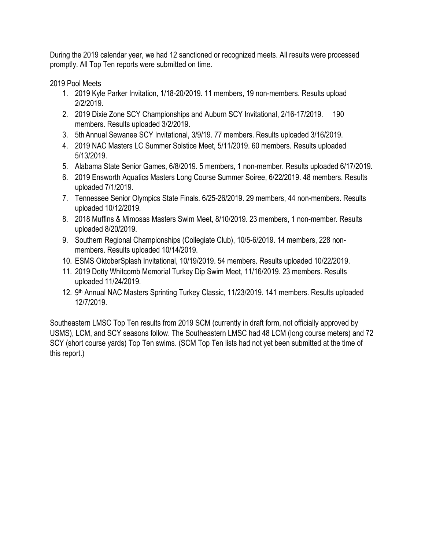During the 2019 calendar year, we had 12 sanctioned or recognized meets. All results were processed promptly. All Top Ten reports were submitted on time.

2019 Pool Meets

- 1. 2019 Kyle Parker Invitation, 1/18-20/2019. 11 members, 19 non-members. Results upload 2/2/2019.
- 2. 2019 Dixie Zone SCY Championships and Auburn SCY Invitational, 2/16-17/2019. 190 members. Results uploaded 3/2/2019.
- 3. 5th Annual Sewanee SCY Invitational, 3/9/19. 77 members. Results uploaded 3/16/2019.
- 4. 2019 NAC Masters LC Summer Solstice Meet, 5/11/2019. 60 members. Results uploaded 5/13/2019.
- 5. Alabama State Senior Games, 6/8/2019. 5 members, 1 non-member. Results uploaded 6/17/2019.
- 6. 2019 Ensworth Aquatics Masters Long Course Summer Soiree, 6/22/2019. 48 members. Results uploaded 7/1/2019.
- 7. Tennessee Senior Olympics State Finals. 6/25-26/2019. 29 members, 44 non-members. Results uploaded 10/12/2019.
- 8. 2018 Muffins & Mimosas Masters Swim Meet, 8/10/2019. 23 members, 1 non-member. Results uploaded 8/20/2019.
- 9. Southern Regional Championships (Collegiate Club), 10/5-6/2019. 14 members, 228 nonmembers. Results uploaded 10/14/2019.
- 10. ESMS OktoberSplash Invitational, 10/19/2019. 54 members. Results uploaded 10/22/2019.
- 11. 2019 Dotty Whitcomb Memorial Turkey Dip Swim Meet, 11/16/2019. 23 members. Results uploaded 11/24/2019.
- 12. 9<sup>th</sup> Annual NAC Masters Sprinting Turkey Classic, 11/23/2019. 141 members. Results uploaded 12/7/2019.

Southeastern LMSC Top Ten results from 2019 SCM (currently in draft form, not officially approved by USMS), LCM, and SCY seasons follow. The Southeastern LMSC had 48 LCM (long course meters) and 72 SCY (short course yards) Top Ten swims. (SCM Top Ten lists had not yet been submitted at the time of this report.)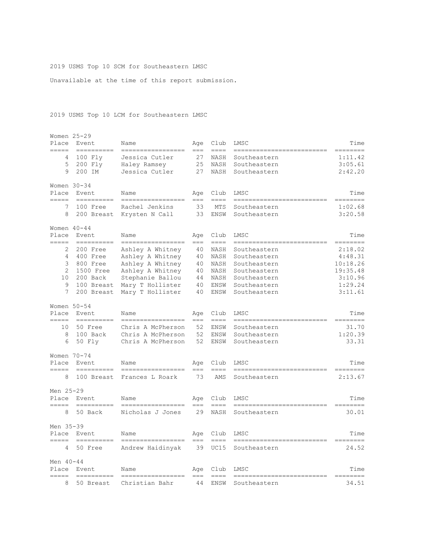#### 2019 USMS Top 10 SCM for Southeastern LMSC

Unavailable at the time of this report submission.

#### 2019 USMS Top 10 LCM for Southeastern LMSC

| Place                 | Women 25-29<br>Event  | Name                                  | Aqe              | Club                | LMSC                               | Time                 |
|-----------------------|-----------------------|---------------------------------------|------------------|---------------------|------------------------------------|----------------------|
| =====                 |                       | =================                     | $=$ $=$ $=$      | $=$ $=$ $=$         | -----------------------            | -------              |
| 4                     | 100 Fly               | Jessica Cutler                        | 27               | NASH                | Southeastern                       | 1:11.42              |
| 5<br>9                | 200 Fly<br>200 IM     | Haley Ramsey<br>Jessica Cutler        | 25<br>27         | NASH                | Southeastern                       | 3:05.61<br>2:42.20   |
|                       |                       |                                       |                  | NASH                | Southeastern                       |                      |
|                       | Women $30-34$         |                                       |                  |                     |                                    |                      |
| Place<br>=====        | Event<br>----------   | Name                                  | Age<br>$==$      | Club<br>====        | LMSC                               | Time<br>$==$<br>==== |
| 7                     | 100 Free              | Rachel Jenkins                        | 33               | <b>MTS</b>          | Southeastern                       | 1:02.68              |
| 8                     | 200 Breast            | Krysten N Call                        | 33               | ENSW                | Southeastern                       | 3:20.58              |
|                       | Women 40-44           |                                       |                  |                     |                                    |                      |
| Place                 | Event.                | Name                                  | Age              | Club                | LMSC                               | Time                 |
| =====                 | ----------            | =================                     | $===$            | $== == =$           | -----------<br>_________           | ========             |
| 2                     | 200 Free              | Ashley A Whitney                      | 40               | <b>NASH</b>         | Southeastern                       | 2:18.02              |
| 4                     | 400 Free              | Ashley A Whitney                      | 40               | NASH                | Southeastern                       | 4:48.31              |
| 3                     | 800 Free              | Ashley A Whitney                      | 40               | NASH                | Southeastern                       | 10:18.26             |
| $\mathbf{2}^{\prime}$ | 1500 Free             | Ashley A Whitney                      | 40               | NASH                | Southeastern                       | 19:35.48             |
| 10                    | 200 Back              | Stephanie Ballou                      | 44               | NASH                | Southeastern                       | 3:10.96              |
| 9                     | 100 Breast            | Mary T Hollister                      | 40               | ENSW                | Southeastern                       | 1:29.24              |
| 7                     | 200 Breast            | Mary T Hollister                      | 40               | ENSW                | Southeastern                       | 3:11.61              |
| Women 50-54           |                       |                                       |                  |                     |                                    |                      |
| Place<br>=====        | Event<br>==========   | Name<br>------------------            | Age<br>$=$ = $=$ | Club<br>$=$ $=$ $=$ | LMSC<br>-------------------------- | Time<br>--------     |
| 10                    | 50 Free               | Chris A McPherson                     | 52               | ENSW                | Southeastern                       | 31.70                |
| 8                     | 100 Back              | Chris A McPherson                     | 52               | ENSW                | Southeastern                       | 1:20.39              |
| 6                     | 50 Fly                | Chris A McPherson                     | 52               | ENSW                | Southeastern                       | 33.31                |
|                       | Women 70-74           |                                       |                  |                     |                                    |                      |
| Place                 | Event                 | Name                                  | Aqe              | Club                | LMSC                               | Time                 |
| =====                 | ----------            | ==============                        | $==$             | $====$              |                                    | =======              |
| 8                     | 100 Breast            | Frances L Roark                       | 73               | AMS                 | Southeastern                       | 2:13.67              |
| Men 25-29             |                       |                                       |                  |                     |                                    |                      |
| Place<br>—————        | Event<br>----------   | Name<br>--------------                | Age<br>$==$      | Club<br>$= = = =$   | LMSC                               | Time<br>,,,,,,,      |
| 8                     | 50 Back               | Nicholas J Jones                      | 29               | NASH                | Southeastern                       | 30.01                |
| Men 35-39             |                       |                                       |                  |                     |                                    |                      |
| Place                 | Event                 | Name                                  | Age              | Club                | LMSC                               | Time                 |
| $=$ $=$ $=$ $=$<br>4  | ==========<br>50 Free | -----------------<br>Andrew Haidinyak | $== =$<br>39     | $== == =$<br>UC15   | ---------<br>Southeastern          | ========<br>24.52    |
|                       |                       |                                       |                  |                     |                                    |                      |
| Men $40 - 44$         |                       |                                       |                  |                     |                                    |                      |
| Place<br>=====        | Event<br>==========   | Name<br>=================             | Age<br>$== =$    | Club<br>$==-=$      | LMSC<br>----------------           | Time<br>========     |
| 8                     | 50 Breast             | Christian Bahr                        | 44               | ENSW                | Southeastern                       | 34.51                |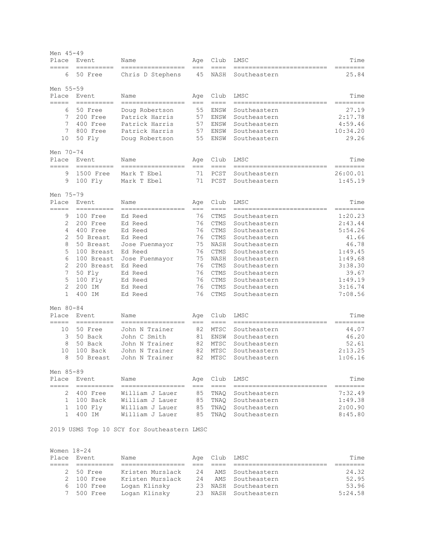| Men 45-49         |                          |                                            |             |                                                     |                                            |                      |
|-------------------|--------------------------|--------------------------------------------|-------------|-----------------------------------------------------|--------------------------------------------|----------------------|
| Place             | Event                    | Name                                       | Age         | Club                                                | LMSC                                       | Time                 |
| =====<br>6        | ==========<br>50 Free    | =================<br>Chris D Stephens      | $==$<br>45  | $==-=$<br>NASH                                      | ==========<br>Southeastern                 | ===<br>25.84         |
| Men 55-59         |                          |                                            |             |                                                     |                                            |                      |
| Place             | Event                    | Name                                       | Age         | Club                                                | LMSC                                       | Time                 |
| =====<br>6        | ==========<br>50 Free    | =================<br>Doug Robertson        | ===<br>55   | $== == =$<br>ENSW                                   | Southeastern                               | $=$ $=$ $=$<br>27.19 |
| 7                 | 200 Free                 | Patrick Harris                             | 57          | ENSW                                                | Southeastern                               | 2:17.78              |
| 7                 | 400 Free                 | Patrick Harris                             | 57          | ENSW                                                | Southeastern                               | 4:59.46              |
| 7                 | 800 Free                 | Patrick Harris                             | 57          | ENSW                                                | Southeastern                               | 10:34.20             |
| 10                | 50 Fly                   | Doug Robertson                             | 55          | ENSW                                                | Southeastern                               | 29.26                |
| Men 70-74         |                          |                                            |             |                                                     |                                            |                      |
| Place             | Event                    | Name                                       | Age         | Club                                                | LMSC                                       | Time                 |
| $=$ $=$ $=$ $=$   | $=$ =========            | -----------------                          | $==$        | $==-=$                                              | --------------------------                 | ========             |
| 9                 | 1500 Free                | Mark T Ebel                                | 71          | PCST                                                | Southeastern                               | 26:00.01             |
| 9                 | 100 Fly                  | Mark T Ebel                                | 71          | PCST                                                | Southeastern                               | 1:45.19              |
| Men 75-79         |                          |                                            |             |                                                     |                                            |                      |
| Place<br>=====    | Event<br>----------      | Name<br>--------------                     | Age<br>$==$ | Club<br>$==-=$                                      | LMSC<br>--------------                     | Time<br>========     |
| 9                 | 100 Free                 | Ed Reed                                    | 76          | CTMS                                                | Southeastern                               | 1:20.23              |
| 2                 | 200 Free                 | Ed Reed                                    | 76          | <b>CTMS</b>                                         | Southeastern                               | 2:43.44              |
| 4                 | 400 Free                 | Ed Reed                                    | 76          | CTMS                                                | Southeastern                               | 5:54.26              |
| 2                 | 50 Breast                | Ed Reed                                    | 76          | <b>CTMS</b>                                         | Southeastern                               | 41.66                |
| 8                 | 50 Breast                | Jose Fuenmayor                             | 75          | NASH                                                | Southeastern                               | 46.78                |
| 5                 | 100 Breast               | Ed Reed                                    | 76          | <b>CTMS</b>                                         | Southeastern                               | 1:49.45              |
| 6<br>$\mathbf{2}$ | 100 Breast<br>200 Breast | Jose Fuenmayor<br>Ed Reed                  | 75<br>76    | NASH<br>CTMS                                        | Southeastern<br>Southeastern               | 1:49.68<br>3:38.30   |
| 7                 | 50 Fly                   | Ed Reed                                    | 76          | <b>CTMS</b>                                         | Southeastern                               | 39.67                |
| 5                 | $100$ $Fly$              | Ed Reed                                    | 76          | CTMS                                                | Southeastern                               | 1:49.19              |
| $\mathbf{2}$      | 200 IM                   | Ed Reed                                    | 76          | <b>CTMS</b>                                         | Southeastern                               | 3:16.74              |
| $\mathbf{1}$      | 400 IM                   | Ed Reed                                    | 76          | <b>CTMS</b>                                         | Southeastern                               | 7:08.56              |
| Men 80-84         |                          |                                            |             |                                                     |                                            |                      |
| Place             | Event                    | Name                                       | Age         | Club                                                | LMSC                                       | Time                 |
| $=====$           |                          | =================                          | $==$        | $====$                                              | --------------                             | --------             |
| 10<br>3           | 50 Free<br>50 Back       | John N Trainer<br>John C Smith             | 82<br>81    | MTSC<br>ENSW                                        | Southeastern<br>Southeastern               | 44.07<br>46.20       |
| 8                 | 50 Back                  | John N Trainer                             | 82          | MTSC                                                | Southeastern                               | 52.61                |
| 10                | 100 Back                 | John N Trainer                             | 82          | MTSC                                                | Southeastern                               | 2:13.25              |
| 8                 | 50 Breast                | John N Trainer                             | 82          | MTSC                                                | Southeastern                               | 1:06.16              |
| Men 85-89         |                          |                                            |             |                                                     |                                            |                      |
|                   | Place Event              | Name                                       |             | Age Club                                            | LMSC                                       | Time                 |
|                   |                          | 2 400 Free William J Lauer                 | $==$<br>85  | $\qquad \qquad \doteq \qquad \qquad \doteq$<br>TNAQ | ==========================<br>Southeastern | --------<br>7:32.49  |
|                   | 1 100 Back               | William J Lauer                            |             |                                                     | 85 TNAQ Southeastern                       | 1:49.38              |
|                   |                          | 1 100 Fly William J Lauer                  | 85          |                                                     | TNAQ Southeastern                          | 2:00.90              |
| $\mathbf{1}$      | 400 IM                   | William J Lauer                            | 85          | TNAQ                                                | Southeastern                               | 8:45.80              |
|                   |                          | 2019 USMS Top 10 SCY for Southeastern LMSC |             |                                                     |                                            |                      |
|                   |                          |                                            |             |                                                     |                                            |                      |
| Women 18-24       |                          |                                            |             |                                                     |                                            |                      |

| Place Event | Name             | Age Club LMSC |                      | Time    |
|-------------|------------------|---------------|----------------------|---------|
|             |                  |               |                      |         |
| 2 50 Free   | Kristen Murslack |               | 24 AMS Southeastern  | 24.32   |
| 2 100 Free  | Kristen Murslack |               | 24 AMS Southeastern  | 52.95   |
| 6 100 Free  | Logan Klinsky    |               | 23 NASH Southeastern | 53.96   |
| 7 500 Free  | Logan Klinsky    |               | 23 NASH Southeastern | 5:24.58 |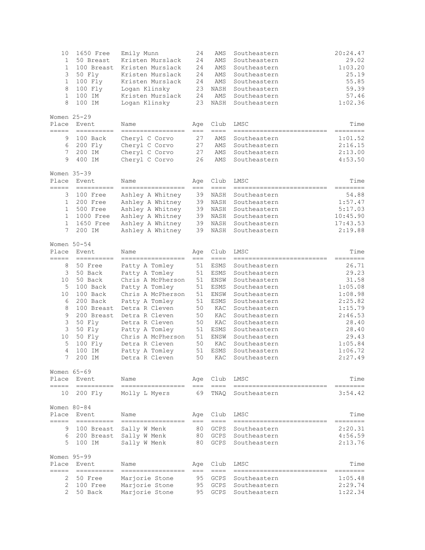| 10<br>$\mathbf{1}$<br>$\mathbf 1$<br>3<br>$\mathbf{1}$<br>8<br>$\mathbf{1}$<br>8<br>Place | 1650 Free<br>50 Breast<br>100 Breast<br>50 Fly<br>100 Fly<br>100 Fly<br>100 IM<br>100 IM<br>Women 25-29<br>Event | Emily Munn<br>Kristen Murslack<br>Kristen Murslack<br>Kristen Murslack<br>Kristen Murslack<br>Logan Klinsky<br>Kristen Murslack<br>Logan Klinsky<br>Name | 24<br>24<br>24<br>24<br>24<br>23<br>24<br>23<br>Age | AMS<br>AMS<br>AMS<br>AMS<br>AMS<br>NASH<br>AMS<br>NASH<br>Club | Southeastern<br>Southeastern<br>Southeastern<br>Southeastern<br>Southeastern<br>Southeastern<br>Southeastern<br>Southeastern<br>LMSC | 20:24.47<br>29.02<br>1:03.20<br>25.19<br>55.85<br>59.39<br>57.46<br>1:02.36<br>Time |
|-------------------------------------------------------------------------------------------|------------------------------------------------------------------------------------------------------------------|----------------------------------------------------------------------------------------------------------------------------------------------------------|-----------------------------------------------------|----------------------------------------------------------------|--------------------------------------------------------------------------------------------------------------------------------------|-------------------------------------------------------------------------------------|
| =====                                                                                     | ==========                                                                                                       | =================                                                                                                                                        | $==$                                                | $====$                                                         | ---------------------------                                                                                                          | ========                                                                            |
| 9<br>6<br>7<br>9                                                                          | 100 Back<br>200 Fly<br>200 IM<br>400 IM                                                                          | Cheryl C Corvo<br>Cheryl C Corvo<br>Cheryl C Corvo<br>Cheryl C Corvo                                                                                     | 27<br>27<br>27<br>26                                | AMS<br>AMS<br>AMS<br>AMS                                       | Southeastern<br>Southeastern<br>Southeastern<br>Southeastern                                                                         | 1:01.52<br>2:16.15<br>2:13.00<br>4:53.50                                            |
| Place<br>$=$ $=$ $=$ $=$                                                                  | Women 35-39<br>Event<br>==========                                                                               | Name<br>-----------------                                                                                                                                | Age<br>$===$                                        | Club<br>$==-=$                                                 | LMSC<br>--------------------------                                                                                                   | Time<br>--------                                                                    |
| 3                                                                                         | 100 Free                                                                                                         | Ashley A Whitney                                                                                                                                         | 39                                                  | NASH                                                           | Southeastern                                                                                                                         | 54.88                                                                               |
| $\mathbf 1$                                                                               | 200 Free                                                                                                         | Ashley A Whitney                                                                                                                                         | 39                                                  | NASH                                                           | Southeastern                                                                                                                         | 1:57.47                                                                             |
| $\mathbf{1}$                                                                              | 500 Free                                                                                                         | Ashley A Whitney                                                                                                                                         | 39                                                  | NASH                                                           | Southeastern                                                                                                                         | 5:17.03                                                                             |
| 1                                                                                         | 1000 Free                                                                                                        | Ashley A Whitney                                                                                                                                         | 39                                                  | NASH                                                           | Southeastern                                                                                                                         | 10:45.90                                                                            |
| $\mathbf{1}$                                                                              | 1650 Free                                                                                                        | Ashley A Whitney                                                                                                                                         | 39                                                  | NASH                                                           | Southeastern                                                                                                                         | 17:43.53                                                                            |
| 7                                                                                         | 200 IM                                                                                                           | Ashley A Whitney                                                                                                                                         | 39                                                  | NASH                                                           | Southeastern                                                                                                                         | 2:19.88                                                                             |
|                                                                                           | Women $50 - 54$                                                                                                  |                                                                                                                                                          |                                                     |                                                                |                                                                                                                                      |                                                                                     |
| Place                                                                                     | Event                                                                                                            | Name                                                                                                                                                     | Age                                                 | Club                                                           | LMSC                                                                                                                                 | Time                                                                                |
| =====                                                                                     | ==========                                                                                                       | =================                                                                                                                                        | $== =$                                              | $==-=$                                                         | ==========================                                                                                                           | ========                                                                            |
| 8                                                                                         | 50 Free                                                                                                          | Patty A Tomley                                                                                                                                           | 51                                                  | ESMS                                                           | Southeastern                                                                                                                         | 26.71                                                                               |
| 3                                                                                         | 50 Back                                                                                                          | Patty A Tomley                                                                                                                                           | 51                                                  | ESMS                                                           | Southeastern                                                                                                                         | 29.23                                                                               |
| 10                                                                                        | 50 Back                                                                                                          | Chris A McPherson                                                                                                                                        | 51                                                  | ENSW                                                           | Southeastern                                                                                                                         | 31.58                                                                               |
| 5<br>10                                                                                   | 100 Back<br>100 Back                                                                                             | Patty A Tomley<br>Chris A McPherson                                                                                                                      | 51<br>51                                            | ESMS<br>ENSW                                                   | Southeastern<br>Southeastern                                                                                                         | 1:05.08<br>1:08.98                                                                  |
| 6                                                                                         | 200 Back                                                                                                         | Patty A Tomley                                                                                                                                           | 51                                                  | ESMS                                                           | Southeastern                                                                                                                         | 2:25.82                                                                             |
| 8                                                                                         | 100 Breast                                                                                                       | Detra R Cleven                                                                                                                                           | 50                                                  | KAC                                                            | Southeastern                                                                                                                         | 1:15.79                                                                             |
| 9                                                                                         | 200 Breast                                                                                                       | Detra R Cleven                                                                                                                                           | 50                                                  | KAC                                                            | Southeastern                                                                                                                         | 2:46.53                                                                             |
| 3                                                                                         | 50 Fly                                                                                                           | Detra R Cleven                                                                                                                                           | 50                                                  | KAC                                                            | Southeastern                                                                                                                         | 28.40                                                                               |
| 3                                                                                         | 50 Fly                                                                                                           | Patty A Tomley                                                                                                                                           | 51                                                  | ESMS                                                           | Southeastern                                                                                                                         | 28.40                                                                               |
| 10                                                                                        | 50 Fly                                                                                                           | Chris A McPherson                                                                                                                                        | 51                                                  | ENSW                                                           | Southeastern                                                                                                                         | 29.43                                                                               |
| 5                                                                                         | 100 Fly                                                                                                          | Detra R Cleven                                                                                                                                           | 50                                                  | KAC                                                            | Southeastern                                                                                                                         | 1:05.84                                                                             |
| $\overline{4}$                                                                            | 100 IM                                                                                                           | Patty A Tomley                                                                                                                                           | 51                                                  | ESMS                                                           | Southeastern                                                                                                                         | 1:06.72                                                                             |
| 7                                                                                         | 200 IM                                                                                                           | Detra R Cleven                                                                                                                                           | 50                                                  | KAC                                                            | Southeastern                                                                                                                         | 2:27.49                                                                             |
|                                                                                           | Women 65-69                                                                                                      |                                                                                                                                                          |                                                     |                                                                |                                                                                                                                      |                                                                                     |
| Place                                                                                     | Event                                                                                                            | Name                                                                                                                                                     | Age                                                 | Club                                                           | LMSC                                                                                                                                 | Time                                                                                |
| =====                                                                                     |                                                                                                                  | =================                                                                                                                                        | $== =$                                              | $=$ $=$ $=$ $=$                                                | =========================                                                                                                            | =======                                                                             |
| 10                                                                                        | 200 Fly                                                                                                          | Molly L Myers                                                                                                                                            | 69                                                  | TNAO                                                           | Southeastern                                                                                                                         | 3:54.42                                                                             |
|                                                                                           | Women 80-84                                                                                                      |                                                                                                                                                          |                                                     |                                                                |                                                                                                                                      |                                                                                     |
| Place                                                                                     | Event                                                                                                            | Name                                                                                                                                                     | Age                                                 | Club                                                           | LMSC                                                                                                                                 | Time                                                                                |
| =====<br>9                                                                                | 100 Breast                                                                                                       | =================<br>Sally W Menk                                                                                                                        | $===$<br>80                                         | $==-=$<br>GCPS                                                 | Southeastern                                                                                                                         | --------<br>2:20.31                                                                 |
| 6                                                                                         | 200 Breast                                                                                                       | Sally W Menk                                                                                                                                             | 80                                                  | GCPS                                                           | Southeastern                                                                                                                         | 4:56.59                                                                             |
| 5                                                                                         | 100 IM                                                                                                           | Sally W Menk                                                                                                                                             | 80                                                  | <b>GCPS</b>                                                    | Southeastern                                                                                                                         | 2:13.76                                                                             |
|                                                                                           |                                                                                                                  |                                                                                                                                                          |                                                     |                                                                |                                                                                                                                      |                                                                                     |
|                                                                                           | Women 95-99                                                                                                      |                                                                                                                                                          |                                                     |                                                                |                                                                                                                                      |                                                                                     |
| Place<br>=====                                                                            | Event<br>$=$ ==========                                                                                          | Name<br>------------------                                                                                                                               | Age<br>$==$                                         | Club<br>$=$ $=$ $=$                                            | LMSC                                                                                                                                 | Time                                                                                |
| 2                                                                                         | 50 Free                                                                                                          | Marjorie Stone                                                                                                                                           | 95                                                  | GCPS                                                           | Southeastern                                                                                                                         | 1:05.48                                                                             |
| 2                                                                                         | 100 Free                                                                                                         | Marjorie Stone                                                                                                                                           | 95                                                  | GCPS                                                           | Southeastern                                                                                                                         | 2:29.74                                                                             |
| $\mathfrak{D}$                                                                            | 50 Back                                                                                                          | Marjorie Stone                                                                                                                                           | 95                                                  | GCPS                                                           | Southeastern                                                                                                                         | 1:22.34                                                                             |
|                                                                                           |                                                                                                                  |                                                                                                                                                          |                                                     |                                                                |                                                                                                                                      |                                                                                     |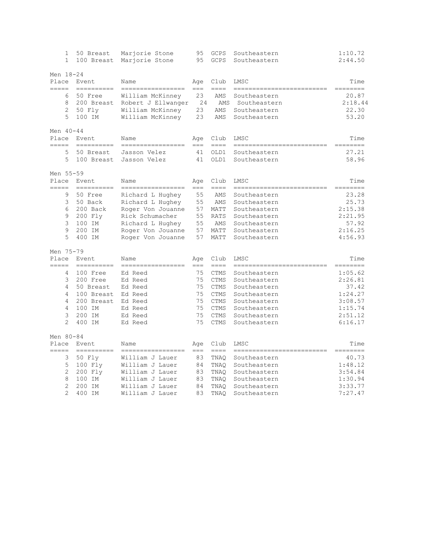| $\mathbf{1}$   | 50 Breast<br>$\mathbf 1$<br>100 Breast | Marjorie Stone<br>Marjorie Stone | 95<br>95    | GCPS<br><b>GCPS</b> | Southeastern<br>Southeastern          | 1:10.72<br>2:44.50 |
|----------------|----------------------------------------|----------------------------------|-------------|---------------------|---------------------------------------|--------------------|
| Men 18-24      |                                        |                                  |             |                     |                                       |                    |
| Place<br>===== | Event<br>----------                    | Name<br>=================        | Age<br>$==$ | Club<br>$==-=$      | LMSC<br>--------------------------    | Time<br>--------   |
| 6              | 50 Free                                | William McKinney                 | 23          | AMS                 | Southeastern                          | 20.87              |
| 8              | 200 Breast                             | Robert J Ellwanger               | 24          | AMS                 | Southeastern                          | 2:18.44            |
| 2              | 50 Fly                                 | William McKinney                 | 23          | AMS                 | Southeastern                          | 22.30              |
| 5              | 100 IM                                 | William McKinney                 | 23          | AMS                 | Southeastern                          | 53.20              |
| Men 40-44      |                                        |                                  |             |                     |                                       |                    |
| Place<br>===== | Event<br>==========                    | Name<br>------------------       | Age<br>$==$ | Club<br>$====$      | LMSC<br>--------------------------    | Time<br>========   |
| 5              | 50 Breast                              | Jasson Velez                     | 41          | OLD1                | Southeastern                          | 27.21              |
|                | 5<br>100 Breast                        | Jasson Velez                     | 41          | OLD1                | Southeastern                          | 58.96              |
| Men 55-59      |                                        |                                  |             |                     |                                       |                    |
| Place          | Event                                  | Name                             | Age         | Club                | LMSC                                  | Time               |
| =====          | ==========                             | ------------------               | $==$        | $== == =$           | ===============                       | ========           |
|                | 9<br>50 Free                           | Richard L Hughey                 | 55          | AMS                 | Southeastern                          | 23.28              |
|                | 3<br>50 Back                           | Richard L Hughey                 | 55          | AMS                 | Southeastern                          | 25.73              |
|                | 6<br>200 Back                          | Roger Von Jouanne                | 57          | MATT                | Southeastern                          | 2:15.38            |
|                | 9<br>200 Fly                           | Rick Schumacher                  | 55          | <b>RATS</b>         | Southeastern                          | 2:21.95            |
| 3              | 100 IM                                 | Richard L Hughey                 | 55          | AMS                 | Southeastern                          | 57.92              |
| 9              | 200 IM                                 | Roger Von Jouanne                | 57          | MATT                | Southeastern                          | 2:16.25            |
| 5              | 400 IM                                 | Roger Von Jouanne                | 57          | MATT                | Southeastern                          | 4:56.93            |
| Men 75-79      |                                        |                                  |             |                     |                                       |                    |
| Place<br>===== | Event<br>----------                    | Name                             | Age         | Club<br>$== == =$   | LMSC<br>---------------<br>---------- | Time<br>========   |
|                | 100 Free<br>4                          | =================<br>Ed Reed     | $==$<br>75  | <b>CTMS</b>         | Southeastern                          | 1:05.62            |
|                | 3<br>200 Free                          | Ed Reed                          | 75          | <b>CTMS</b>         | Southeastern                          | 2:26.81            |
|                | 4<br>50 Breast                         | Ed Reed                          | 75          | <b>CTMS</b>         | Southeastern                          | 37.42              |
|                | 4<br>100 Breast                        | Ed Reed                          | 75          | <b>CTMS</b>         | Southeastern                          | 1:24.27            |
| 4              | 200 Breast                             | Ed Reed                          | 75          | <b>CTMS</b>         | Southeastern                          | 3:08.57            |
| 4              | 100 IM                                 | Ed Reed                          | 75          | <b>CTMS</b>         | Southeastern                          | 1:15.74            |
| 3              | 200 IM                                 | Ed Reed                          | 75          | <b>CTMS</b>         | Southeastern                          | 2:51.12            |
| $\overline{2}$ | 400 IM                                 | Ed Reed                          | 75          | <b>CTMS</b>         | Southeastern                          | 6:16.17            |
| Men 80-84      |                                        |                                  |             |                     |                                       |                    |
| Place<br>===== | Event<br>----------                    | Name<br>----------------         | Age<br>$==$ | Club<br>$== == =$   | LMSC<br>==========                    | Time<br>========   |
|                | 3<br>50 Fly                            | William J Lauer                  | 83          | TNAO                | Southeastern                          | 40.73              |
| 5              | 100 Fly                                | William J Lauer                  | 84          | TNAQ                | Southeastern                          | 1:48.12            |
| 2              | 200 Fly                                | William J Lauer                  | 83          | TNAQ                | Southeastern                          | 3:54.84            |
| 8              | 100 IM                                 | William J Lauer                  | 83          | TNAQ                | Southeastern                          | 1:30.94            |
| 2              | 200 IM                                 | William J Lauer                  | 84          | TNAO                | Southeastern                          | 3:33.77            |
| $\overline{2}$ | 400 IM                                 | William J Lauer                  | 83          | TNAO                | Southeastern                          | 7:27.47            |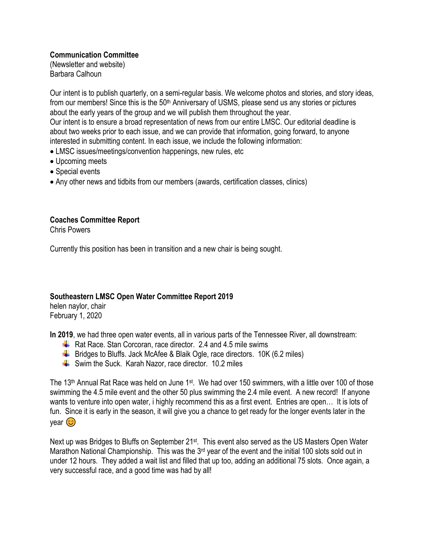## **Communication Committee**

(Newsletter and website) Barbara Calhoun

Our intent is to publish quarterly, on a semi-regular basis. We welcome photos and stories, and story ideas, from our members! Since this is the 50<sup>th</sup> Anniversary of USMS, please send us any stories or pictures about the early years of the group and we will publish them throughout the year. Our intent is to ensure a broad representation of news from our entire LMSC. Our editorial deadline is about two weeks prior to each issue, and we can provide that information, going forward, to anyone interested in submitting content. In each issue, we include the following information:

- LMSC issues/meetings/convention happenings, new rules, etc
- Upcoming meets
- Special events
- Any other news and tidbits from our members (awards, certification classes, clinics)

# **Coaches Committee Report**

Chris Powers

Currently this position has been in transition and a new chair is being sought.

### **Southeastern LMSC Open Water Committee Report 2019**

helen naylor, chair February 1, 2020

**In 2019**, we had three open water events, all in various parts of the Tennessee River, all downstream:

- Rat Race. Stan Corcoran, race director, 2.4 and 4.5 mile swims
- $\downarrow$  Bridges to Bluffs. Jack McAfee & Blaik Ogle, race directors. 10K (6.2 miles)
- $\frac{1}{2}$  Swim the Suck. Karah Nazor, race director. 10.2 miles

The 13<sup>th</sup> Annual Rat Race was held on June 1<sup>st</sup>. We had over 150 swimmers, with a little over 100 of those swimming the 4.5 mile event and the other 50 plus swimming the 2.4 mile event. A new record! If anyone wants to venture into open water, i highly recommend this as a first event. Entries are open… It is lots of fun. Since it is early in the season, it will give you a chance to get ready for the longer events later in the vear (<del>୦</del>)

Next up was Bridges to Bluffs on September 21<sup>st</sup>. This event also served as the US Masters Open Water Marathon National Championship. This was the 3<sup>rd</sup> year of the event and the initial 100 slots sold out in under 12 hours. They added a wait list and filled that up too, adding an additional 75 slots. Once again, a very successful race, and a good time was had by all!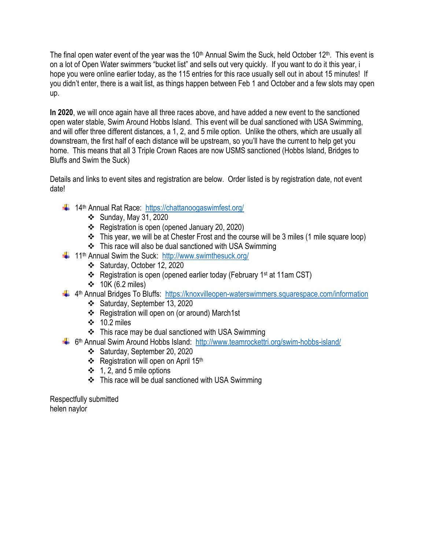The final open water event of the year was the 10<sup>th</sup> Annual Swim the Suck, held October 12<sup>th</sup>. This event is on a lot of Open Water swimmers "bucket list" and sells out very quickly. If you want to do it this year, i hope you were online earlier today, as the 115 entries for this race usually sell out in about 15 minutes! If you didn't enter, there is a wait list, as things happen between Feb 1 and October and a few slots may open up.

**In 2020**, we will once again have all three races above, and have added a new event to the sanctioned open water stable, Swim Around Hobbs Island. This event will be dual sanctioned with USA Swimming, and will offer three different distances, a 1, 2, and 5 mile option. Unlike the others, which are usually all downstream, the first half of each distance will be upstream, so you'll have the current to help get you home. This means that all 3 Triple Crown Races are now USMS sanctioned (Hobbs Island, Bridges to Bluffs and Swim the Suck)

Details and links to event sites and registration are below. Order listed is by registration date, not event date!

- $\downarrow$  14<sup>th</sup> Annual Rat Race: <https://chattanoogaswimfest.org/>
	- ❖ Sunday, May 31, 2020
	- ❖ Registration is open (opened January 20, 2020)
	- ❖ This year, we will be at Chester Frost and the course will be 3 miles (1 mile square loop)
	- ❖ This race will also be dual sanctioned with USA Swimming
- $\downarrow$  11<sup>th</sup> Annual Swim the Suck: <http://www.swimthesuck.org/>
	- ❖ Saturday, October 12, 2020
	- ❖ Registration is open (opened earlier today (February 1st at 11am CST)
	- ❖ 10K (6.2 miles)
- 4<sup>th</sup> Annual Bridges To Bluffs: <https://knoxvilleopen-waterswimmers.squarespace.com/information>
	- ❖ Saturday, September 13, 2020
	- ❖ Registration will open on (or around) March1st
	- ❖ 10.2 miles
	- ❖ This race may be dual sanctioned with USA Swimming
	- 6<sup>th</sup> Annual Swim Around Hobbs Island: <http://www.teamrockettri.org/swim-hobbs-island/>
		- ❖ Saturday, September 20, 2020
		- ❖ Registration will open on April 15th
		- ❖ 1, 2, and 5 mile options
		- ❖ This race will be dual sanctioned with USA Swimming

Respectfully submitted helen naylor